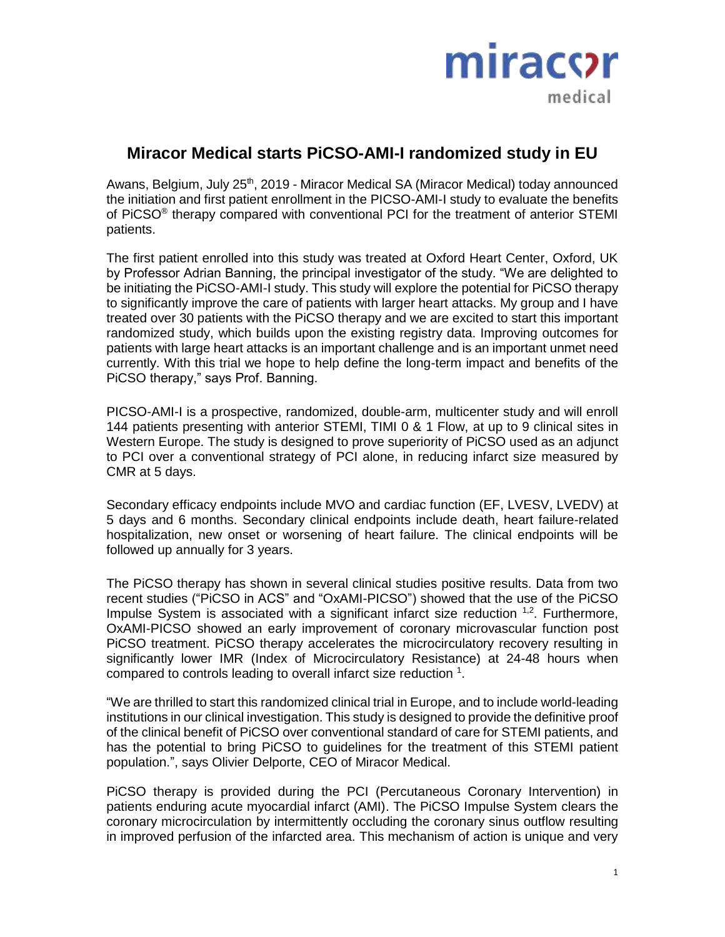

# **Miracor Medical starts PiCSO-AMI-I randomized study in EU**

Awans, Belgium, July 25<sup>th</sup>, 2019 - Miracor Medical SA (Miracor Medical) today announced the initiation and first patient enrollment in the PICSO-AMI-I study to evaluate the benefits of PiCSO<sup>®</sup> therapy compared with conventional PCI for the treatment of anterior STEMI patients.

The first patient enrolled into this study was treated at Oxford Heart Center, Oxford, UK by Professor Adrian Banning, the principal investigator of the study. "We are delighted to be initiating the PiCSO-AMI-I study. This study will explore the potential for PiCSO therapy to significantly improve the care of patients with larger heart attacks. My group and I have treated over 30 patients with the PiCSO therapy and we are excited to start this important randomized study, which builds upon the existing registry data. Improving outcomes for patients with large heart attacks is an important challenge and is an important unmet need currently. With this trial we hope to help define the long-term impact and benefits of the PiCSO therapy," says Prof. Banning.

PICSO-AMI-I is a prospective, randomized, double-arm, multicenter study and will enroll 144 patients presenting with anterior STEMI, TIMI 0 & 1 Flow, at up to 9 clinical sites in Western Europe. The study is designed to prove superiority of PiCSO used as an adjunct to PCI over a conventional strategy of PCI alone, in reducing infarct size measured by CMR at 5 days.

Secondary efficacy endpoints include MVO and cardiac function (EF, LVESV, LVEDV) at 5 days and 6 months. Secondary clinical endpoints include death, heart failure-related hospitalization, new onset or worsening of heart failure. The clinical endpoints will be followed up annually for 3 years.

The PiCSO therapy has shown in several clinical studies positive results. Data from two recent studies ("PiCSO in ACS" and "OxAMI-PICSO") showed that the use of the PiCSO Impulse System is associated with a significant infarct size reduction <sup>1,2</sup>. Furthermore, OxAMI-PICSO showed an early improvement of coronary microvascular function post PiCSO treatment. PiCSO therapy accelerates the microcirculatory recovery resulting in significantly lower IMR (Index of Microcirculatory Resistance) at 24-48 hours when compared to controls leading to overall infarct size reduction  $1$ .

"We are thrilled to start this randomized clinical trial in Europe, and to include world-leading institutions in our clinical investigation. This study is designed to provide the definitive proof of the clinical benefit of PiCSO over conventional standard of care for STEMI patients, and has the potential to bring PiCSO to guidelines for the treatment of this STEMI patient population.", says Olivier Delporte, CEO of Miracor Medical.

PiCSO therapy is provided during the PCI (Percutaneous Coronary Intervention) in patients enduring acute myocardial infarct (AMI). The PiCSO Impulse System clears the coronary microcirculation by intermittently occluding the coronary sinus outflow resulting in improved perfusion of the infarcted area. This mechanism of action is unique and very